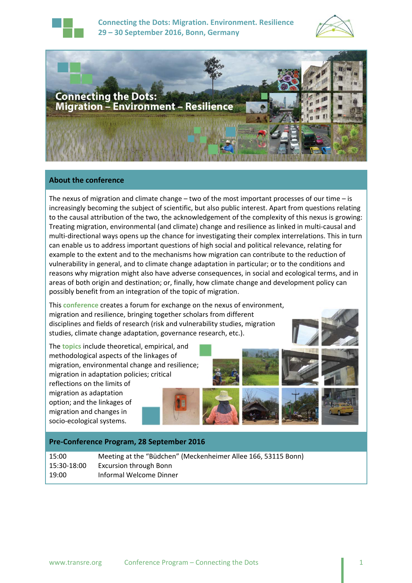

**Connecting the Dots: Migration. Environment. Resilience 29 – 30 September 2016, Bonn, Germany**





## **About the conference**

The nexus of migration and climate change – two of the most important processes of our time – is increasingly becoming the subject of scientific, but also public interest. Apart from questions relating to the causal attribution of the two, the acknowledgement of the complexity of this nexus is growing: Treating migration, environmental (and climate) change and resilience as linked in multi‐causal and multi-directional ways opens up the chance for investigating their complex interrelations. This in turn can enable us to address important questions of high social and political relevance, relating for example to the extent and to the mechanisms how migration can contribute to the reduction of vulnerability in general, and to climate change adaptation in particular; or to the conditions and reasons why migration might also have adverse consequences, in social and ecological terms, and in areas of both origin and destination; or, finally, how climate change and development policy can possibly benefit from an integration of the topic of migration.

This **conference** creates a forum for exchange on the nexus of environment, migration and resilience, bringing together scholars from different disciplines and fields of research (risk and vulnerability studies, migration studies, climate change adaptation, governance research, etc.).

The **topics** include theoretical, empirical, and methodological aspects of the linkages of migration, environmental change and resilience; migration in adaptation policies; critical

reflections on the limits of migration as adaptation option; and the linkages of migration and changes in socio‐ecological systems.

#### **Pre‐Conference Program, 28 September 2016**

15:00 Meeting at the "Büdchen" (Meckenheimer Allee 166, 53115 Bonn) 15:30‐18:00 Excursion through Bonn 19:00 Informal Welcome Dinner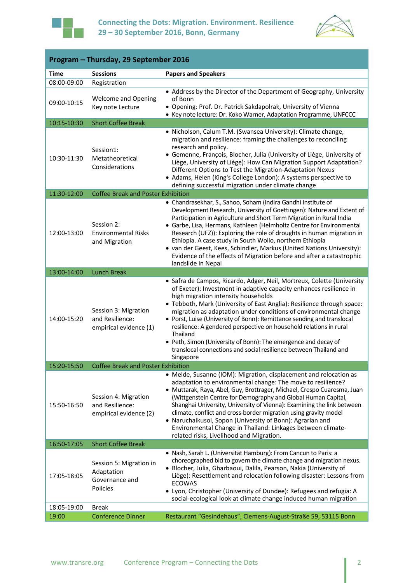



| Program - Thursday, 29 September 2016 |                                                                     |                                                                                                                                                                                                                                                                                                                                                                                                                                                                                                                                                                                                                                                   |
|---------------------------------------|---------------------------------------------------------------------|---------------------------------------------------------------------------------------------------------------------------------------------------------------------------------------------------------------------------------------------------------------------------------------------------------------------------------------------------------------------------------------------------------------------------------------------------------------------------------------------------------------------------------------------------------------------------------------------------------------------------------------------------|
| <b>Time</b>                           | <b>Sessions</b>                                                     | <b>Papers and Speakers</b>                                                                                                                                                                                                                                                                                                                                                                                                                                                                                                                                                                                                                        |
| 08:00-09:00                           | Registration                                                        |                                                                                                                                                                                                                                                                                                                                                                                                                                                                                                                                                                                                                                                   |
| 09:00-10:15                           | <b>Welcome and Opening</b><br>Key note Lecture                      | • Address by the Director of the Department of Geography, University<br>of Bonn<br>· Opening: Prof. Dr. Patrick Sakdapolrak, University of Vienna<br>• Key note lecture: Dr. Koko Warner, Adaptation Programme, UNFCCC                                                                                                                                                                                                                                                                                                                                                                                                                            |
| 10:15-10:30                           | <b>Short Coffee Break</b>                                           |                                                                                                                                                                                                                                                                                                                                                                                                                                                                                                                                                                                                                                                   |
| 10:30-11:30                           | Session1:<br>Metatheoretical<br>Considerations                      | • Nicholson, Calum T.M. (Swansea University): Climate change,<br>migration and resilience: framing the challenges to reconciling<br>research and policy.<br>• Gemenne, François, Blocher, Julia (University of Liège, University of<br>Liège, University of Liège): How Can Migration Support Adaptation?<br>Different Options to Test the Migration-Adaptation Nexus<br>• Adams, Helen (King's College London): A systems perspective to<br>defining successful migration under climate change                                                                                                                                                   |
| 11:30-12:00                           | <b>Coffee Break and Poster Exhibition</b>                           |                                                                                                                                                                                                                                                                                                                                                                                                                                                                                                                                                                                                                                                   |
| 12:00-13:00                           | Session 2:<br><b>Environmental Risks</b><br>and Migration           | • Chandrasekhar, S., Sahoo, Soham (Indira Gandhi Institute of<br>Development Research, University of Goettingen): Nature and Extent of<br>Participation in Agriculture and Short Term Migration in Rural India<br>· Garbe, Lisa, Hermans, Kathleen (Helmholtz Centre for Environmental<br>Research (UFZ)): Exploring the role of droughts in human migration in<br>Ethiopia. A case study in South Wollo, northern Ethiopia<br>• van der Geest, Kees, Schindler, Markus (United Nations University):<br>Evidence of the effects of Migration before and after a catastrophic<br>landslide in Nepal                                                |
| 13:00-14:00                           | <b>Lunch Break</b>                                                  |                                                                                                                                                                                                                                                                                                                                                                                                                                                                                                                                                                                                                                                   |
| 14:00-15:20                           | Session 3: Migration<br>and Resilience:<br>empirical evidence (1)   | · Safra de Campos, Ricardo, Adger, Neil, Mortreux, Colette (University<br>of Exeter): Investment in adaptive capacity enhances resilience in<br>high migration intensity households<br>• Tebboth, Mark (University of East Anglia): Resilience through space:<br>migration as adaptation under conditions of environmental change<br>• Porst, Luise (University of Bonn): Remittance sending and translocal<br>resilience: A gendered perspective on household relations in rural<br>Thailand<br>• Peth, Simon (University of Bonn): The emergence and decay of<br>translocal connections and social resilience between Thailand and<br>Singapore |
| 15:20-15:50                           | <b>Coffee Break and Poster Exhibition</b>                           |                                                                                                                                                                                                                                                                                                                                                                                                                                                                                                                                                                                                                                                   |
| 15:50-16:50                           | Session 4: Migration<br>and Resilience:<br>empirical evidence (2)   | • Melde, Susanne (IOM): Migration, displacement and relocation as<br>adaptation to environmental change: The move to resilience?<br>· Muttarak, Raya, Abel, Guy, Brottrager, Michael, Crespo Cuaresma, Juan<br>(Wittgenstein Centre for Demography and Global Human Capital,<br>Shanghai University, University of Vienna): Examining the link between<br>climate, conflict and cross-border migration using gravity model<br>• Naruchaikusol, Sopon (University of Bonn): Agrarian and<br>Environmental Change in Thailand: Linkages between climate-<br>related risks, Livelihood and Migration.                                                |
| 16:50-17:05                           | <b>Short Coffee Break</b>                                           |                                                                                                                                                                                                                                                                                                                                                                                                                                                                                                                                                                                                                                                   |
| 17:05-18:05                           | Session 5: Migration in<br>Adaptation<br>Governance and<br>Policies | · Nash, Sarah L. (Universität Hamburg): From Cancun to Paris: a<br>choreographed bid to govern the climate change and migration nexus.<br>· Blocher, Julia, Gharbaoui, Dalila, Pearson, Nakia (University of<br>Liège): Resettlement and relocation following disaster: Lessons from<br><b>ECOWAS</b><br>• Lyon, Christopher (University of Dundee): Refugees and refugia: A<br>social-ecological look at climate change induced human migration                                                                                                                                                                                                  |
| 18:05-19:00                           | <b>Break</b>                                                        |                                                                                                                                                                                                                                                                                                                                                                                                                                                                                                                                                                                                                                                   |
| 19:00                                 | <b>Conference Dinner</b>                                            | Restaurant "Gesindehaus", Clemens-August-Straße 59, 53115 Bonn                                                                                                                                                                                                                                                                                                                                                                                                                                                                                                                                                                                    |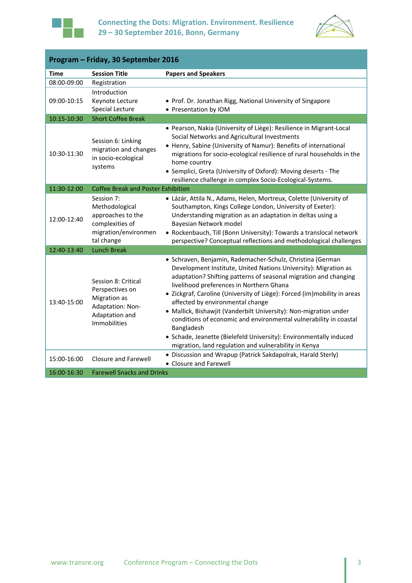



| Program - Friday, 30 September 2016 |                                                                                                                     |                                                                                                                                                                                                                                                                                                                                                                                                                                                                                                                                                                                                                                                      |  |
|-------------------------------------|---------------------------------------------------------------------------------------------------------------------|------------------------------------------------------------------------------------------------------------------------------------------------------------------------------------------------------------------------------------------------------------------------------------------------------------------------------------------------------------------------------------------------------------------------------------------------------------------------------------------------------------------------------------------------------------------------------------------------------------------------------------------------------|--|
| <b>Time</b>                         | <b>Session Title</b>                                                                                                | <b>Papers and Speakers</b>                                                                                                                                                                                                                                                                                                                                                                                                                                                                                                                                                                                                                           |  |
| 08:00-09:00                         | Registration                                                                                                        |                                                                                                                                                                                                                                                                                                                                                                                                                                                                                                                                                                                                                                                      |  |
| 09:00-10:15                         | Introduction<br>Keynote Lecture<br><b>Special Lecture</b>                                                           | • Prof. Dr. Jonathan Rigg, National University of Singapore<br>• Presentation by IOM                                                                                                                                                                                                                                                                                                                                                                                                                                                                                                                                                                 |  |
| 10:15-10:30                         | <b>Short Coffee Break</b>                                                                                           |                                                                                                                                                                                                                                                                                                                                                                                                                                                                                                                                                                                                                                                      |  |
| 10:30-11:30                         | Session 6: Linking<br>migration and changes<br>in socio-ecological<br>systems                                       | · Pearson, Nakia (University of Liège): Resilience in Migrant-Local<br>Social Networks and Agricultural Investments<br>• Henry, Sabine (University of Namur): Benefits of international<br>migrations for socio-ecological resilience of rural households in the<br>home country<br>• Semplici, Greta (University of Oxford): Moving deserts - The<br>resilience challenge in complex Socio-Ecological-Systems.                                                                                                                                                                                                                                      |  |
| 11:30-12:00                         | <b>Coffee Break and Poster Exhibition</b>                                                                           |                                                                                                                                                                                                                                                                                                                                                                                                                                                                                                                                                                                                                                                      |  |
| 12:00-12:40                         | Session 7:<br>Methodological<br>approaches to the<br>complexities of<br>migration/environmen<br>tal change          | · Lázár, Attila N., Adams, Helen, Mortreux, Colette (University of<br>Southampton, Kings College London, University of Exeter):<br>Understanding migration as an adaptation in deltas using a<br>Bayesian Network model<br>• Rockenbauch, Till (Bonn University): Towards a translocal network<br>perspective? Conceptual reflections and methodological challenges                                                                                                                                                                                                                                                                                  |  |
| 12:40-13:40                         | <b>Lunch Break</b>                                                                                                  |                                                                                                                                                                                                                                                                                                                                                                                                                                                                                                                                                                                                                                                      |  |
| 13:40-15:00                         | Session 8: Critical<br>Perspectives on<br>Migration as<br>Adaptation: Non-<br>Adaptation and<br><b>Immobilities</b> | · Schraven, Benjamin, Rademacher-Schulz, Christina (German<br>Development Institute, United Nations University): Migration as<br>adaptation? Shifting patterns of seasonal migration and changing<br>livelihood preferences in Northern Ghana<br>• Zickgraf, Caroline (University of Liège): Forced (im)mobility in areas<br>affected by environmental change<br>• Mallick, Bishawjit (Vanderbilt University): Non-migration under<br>conditions of economic and environmental vulnerability in coastal<br>Bangladesh<br>• Schade, Jeanette (Bielefeld University): Environmentally induced<br>migration, land regulation and vulnerability in Kenya |  |
| 15:00-16:00                         | Closure and Farewell                                                                                                | • Discussion and Wrapup (Patrick Sakdapolrak, Harald Sterly)<br>• Closure and Farewell                                                                                                                                                                                                                                                                                                                                                                                                                                                                                                                                                               |  |
| 16:00-16:30                         | <b>Farewell Snacks and Drinks</b>                                                                                   |                                                                                                                                                                                                                                                                                                                                                                                                                                                                                                                                                                                                                                                      |  |